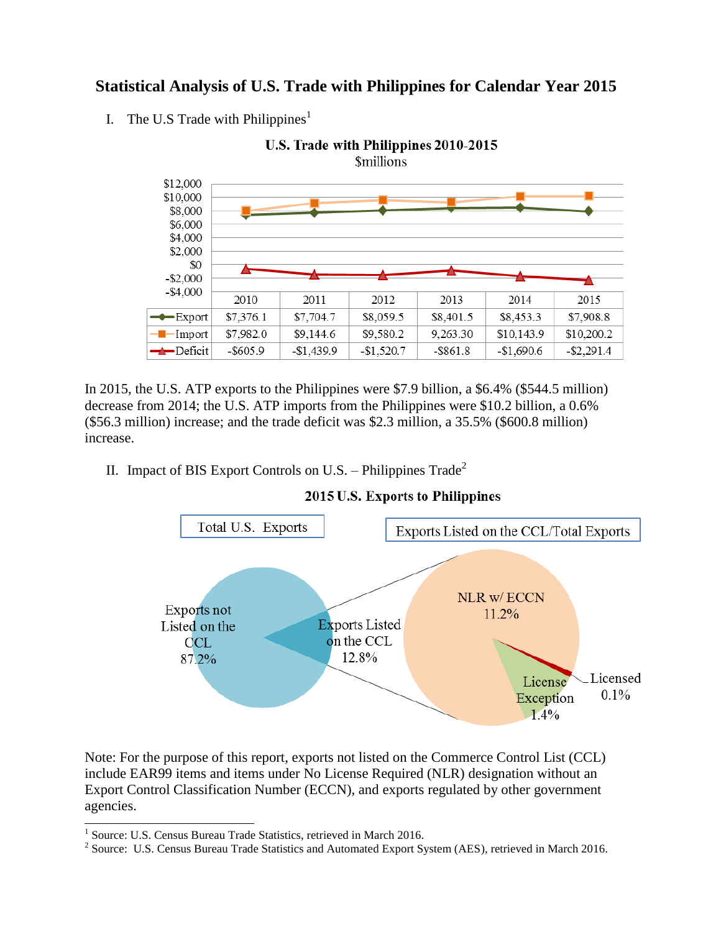## **Statistical Analysis of U.S. Trade with Philippines for Calendar Year 2015**

I. The U.S Trade with Philippines<sup>1</sup>



In 2015, the U.S. ATP exports to the Philippines were \$7.9 billion, a \$6.4% (\$544.5 million) decrease from 2014; the U.S. ATP imports from the Philippines were \$10.2 billion, a 0.6% (\$56.3 million) increase; and the trade deficit was \$2.3 million, a 35.5% (\$600.8 million) increase.

II. Impact of BIS Export Controls on U.S. – Philippines  $\text{Trade}^2$ 



2015 U.S. Exports to Philippines

Note: For the purpose of this report, exports not listed on the Commerce Control List (CCL) include EAR99 items and items under No License Required (NLR) designation without an Export Control Classification Number (ECCN), and exports regulated by other government agencies.

 1 Source: U.S. Census Bureau Trade Statistics, retrieved in March 2016.

<sup>&</sup>lt;sup>2</sup> Source: U.S. Census Bureau Trade Statistics and Automated Export System (AES), retrieved in March 2016.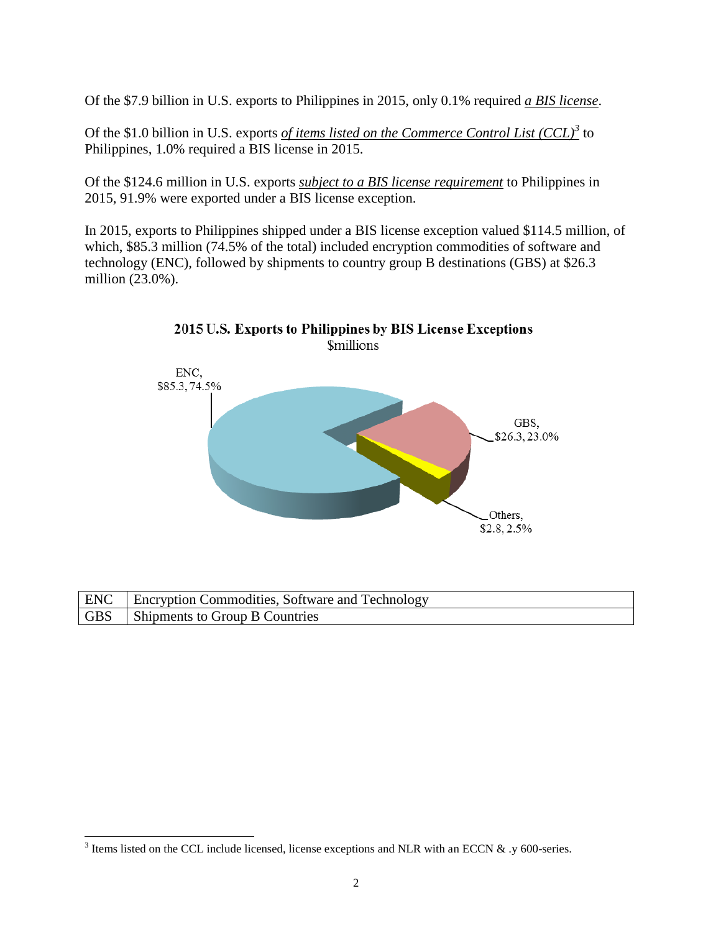Of the \$7.9 billion in U.S. exports to Philippines in 2015, only 0.1% required *a BIS license*.

Of the \$1.0 billion in U.S. exports *of items listed on the Commerce Control List (CCL)<sup>3</sup>* to Philippines, 1.0% required a BIS license in 2015.

Of the \$124.6 million in U.S. exports *subject to a BIS license requirement* to Philippines in 2015, 91.9% were exported under a BIS license exception.

In 2015, exports to Philippines shipped under a BIS license exception valued \$114.5 million, of which, \$85.3 million (74.5% of the total) included encryption commodities of software and technology (ENC), followed by shipments to country group B destinations (GBS) at \$26.3 million (23.0%).



| ENC   Encryption Commodities, Software and Technology |
|-------------------------------------------------------|
| GBS   Shipments to Group B Countries                  |

<sup>&</sup>lt;sup>3</sup> Items listed on the CCL include licensed, license exceptions and NLR with an ECCN & .y 600-series.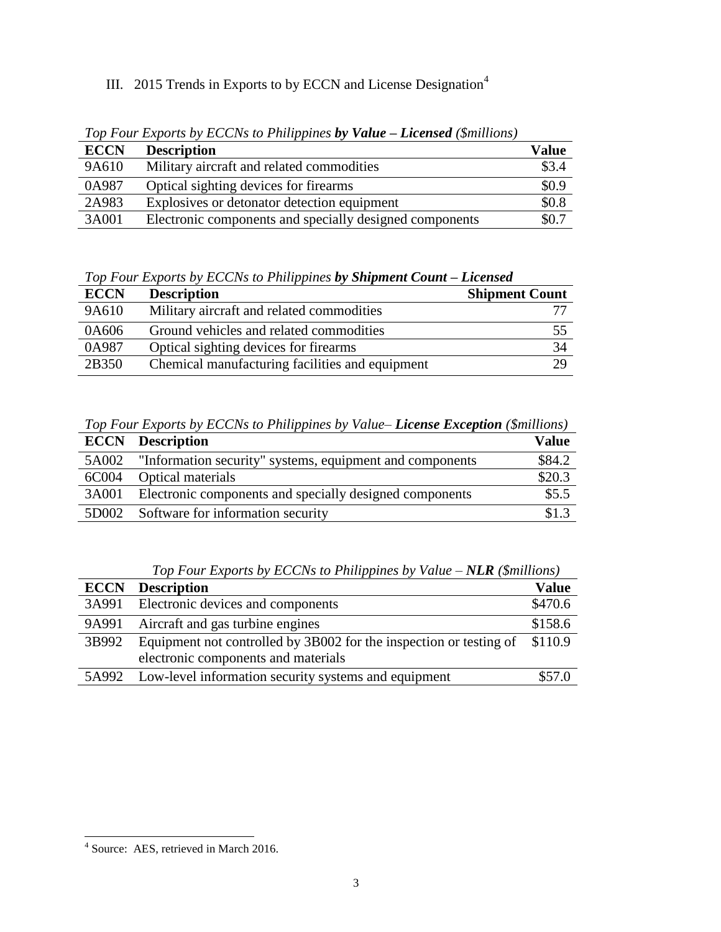## III. 2015 Trends in Exports to by ECCN and License Designation<sup>4</sup>

| <b>ECCN</b> | <b>Description</b>                                      | <b>Value</b> |
|-------------|---------------------------------------------------------|--------------|
| 9A610       | Military aircraft and related commodities               | \$3.4        |
| 0A987       | Optical sighting devices for firearms                   | \$0.9        |
| 2A983       | Explosives or detonator detection equipment             | \$0.8        |
| 3A001       | Electronic components and specially designed components | \$0.7        |

*Top Four Exports by ECCNs to Philippines by Value – Licensed (\$millions)*

*Top Four Exports by ECCNs to Philippines by Shipment Count – Licensed*

| <b>ECCN</b> | <b>Description</b>                              | <b>Shipment Count</b> |
|-------------|-------------------------------------------------|-----------------------|
| 9A610       | Military aircraft and related commodities       |                       |
| 0A606       | Ground vehicles and related commodities         | 55                    |
| 0A987       | Optical sighting devices for firearms           | 34                    |
| 2B350       | Chemical manufacturing facilities and equipment | 29                    |

*Top Four Exports by ECCNs to Philippines by Value– License Exception (\$millions)*

| <b>ECCN</b> | <b>Description</b>                                       | <b>Value</b> |
|-------------|----------------------------------------------------------|--------------|
| 5A002       | "Information security" systems, equipment and components | \$84.2       |
| 6C004       | <b>Optical materials</b>                                 | \$20.3       |
| 3A001       | Electronic components and specially designed components  | \$5.5        |
| 5D002       | Software for information security                        | \$1.3        |

*Top Four Exports by ECCNs to Philippines by Value – NLR (\$millions)*

| <b>ECCN</b> | <b>Description</b>                                                 | Value   |
|-------------|--------------------------------------------------------------------|---------|
| 3A991       | Electronic devices and components                                  | \$470.6 |
| 9A991       | Aircraft and gas turbine engines                                   | \$158.6 |
| 3B992       | Equipment not controlled by 3B002 for the inspection or testing of | \$110.9 |
|             | electronic components and materials                                |         |
| 5A992       | Low-level information security systems and equipment               | \$57.0  |

 4 Source: AES, retrieved in March 2016.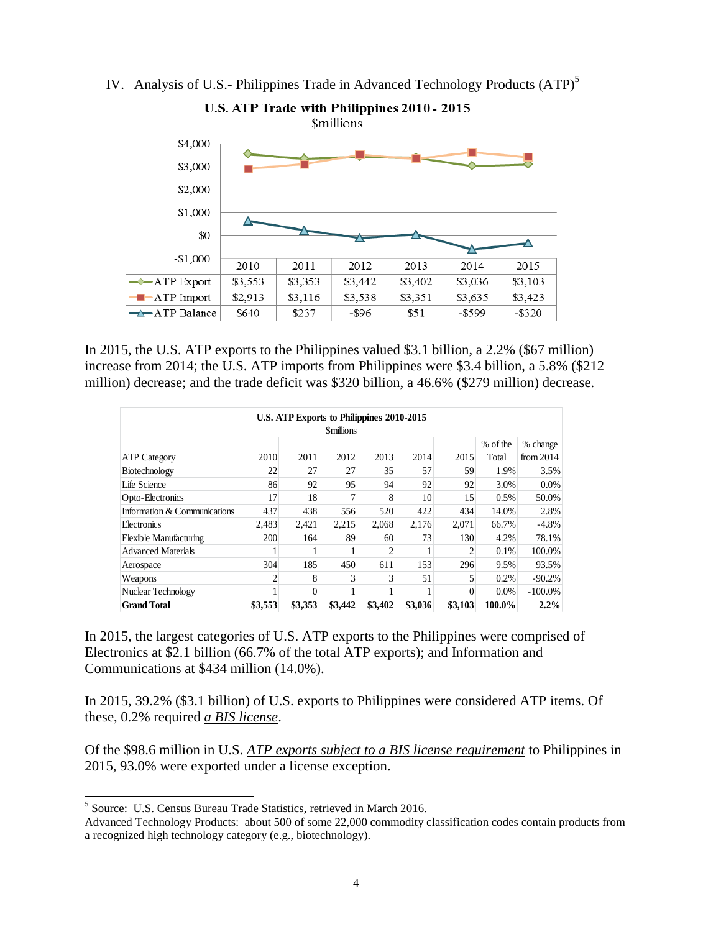



In 2015, the U.S. ATP exports to the Philippines valued \$3.1 billion, a 2.2% (\$67 million) increase from 2014; the U.S. ATP imports from Philippines were \$3.4 billion, a 5.8% (\$212 million) decrease; and the trade deficit was \$320 billion, a 46.6% (\$279 million) decrease.

| U.S. ATP Exports to Philippines 2010-2015 |                |          |         |                |         |         |          |             |
|-------------------------------------------|----------------|----------|---------|----------------|---------|---------|----------|-------------|
| <b>Smillions</b>                          |                |          |         |                |         |         |          |             |
|                                           |                |          |         |                |         |         | % of the | % change    |
| <b>ATP Category</b>                       | 2010           | 2011     | 2012    | 2013           | 2014    | 2015    | Total    | from $2014$ |
| Biotechnology                             | 22             | 27       | 27      | 35             | 57      | 59      | 1.9%     | 3.5%        |
| Life Science                              | 86             | 92       | 95      | 94             | 92      | 92      | 3.0%     | 0.0%        |
| Opto-Electronics                          | 17             | 18       |         | 8              | 10      | 15      | 0.5%     | 50.0%       |
| Information & Communications              | 437            | 438      | 556     | 520            | 422     | 434     | 14.0%    | 2.8%        |
| Electronics                               | 2.483          | 2,421    | 2,215   | 2.068          | 2,176   | 2,071   | 66.7%    | $-4.8%$     |
| Flexible Manufacturing                    | 200            | 164      | 89      | 60             | 73      | 130     | 4.2%     | 78.1%       |
| <b>Advanced Materials</b>                 |                |          |         | $\overline{c}$ |         | 2       | 0.1%     | 100.0%      |
| Aerospace                                 | 304            | 185      | 450     | 611            | 153     | 296     | 9.5%     | 93.5%       |
| Weapons                                   | $\overline{c}$ | 8        | 3       |                | 51      |         | 0.2%     | $-90.2%$    |
| Nuclear Technology                        |                | $\theta$ |         |                |         | 0       | 0.0%     | $-100.0\%$  |
| <b>Grand Total</b>                        | \$3,553        | \$3,353  | \$3,442 | \$3,402        | \$3,036 | \$3,103 | 100.0%   | 2.2%        |

In 2015, the largest categories of U.S. ATP exports to the Philippines were comprised of Electronics at \$2.1 billion (66.7% of the total ATP exports); and Information and Communications at \$434 million (14.0%).

In 2015, 39.2% (\$3.1 billion) of U.S. exports to Philippines were considered ATP items. Of these, 0.2% required *a BIS license*.

Of the \$98.6 million in U.S. *ATP exports subject to a BIS license requirement* to Philippines in 2015, 93.0% were exported under a license exception.

 5 Source: U.S. Census Bureau Trade Statistics, retrieved in March 2016.

Advanced Technology Products: about 500 of some 22,000 commodity classification codes contain products from a recognized high technology category (e.g., biotechnology).